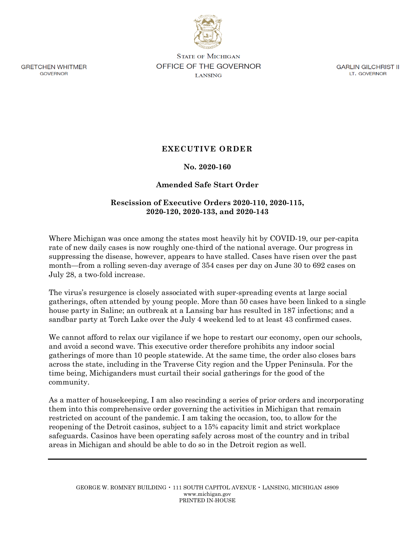

**STATE OF MICHIGAN OFFICE OF THE GOVERNOR LANSING** 

GARLIN GILCHRIST II LT. GOVERNOR

**EXECUTIVE ORDER**

# **No. 2020-160**

# **Amended Safe Start Order**

## **Rescission of Executive Orders 2020-110, 2020-115, 2020-120, 2020-133, and 2020-143**

Where Michigan was once among the states most heavily hit by COVID-19, our per-capita rate of new daily cases is now roughly one-third of the national average. Our progress in suppressing the disease, however, appears to have stalled. Cases have risen over the past month—from a rolling seven-day average of 354 cases per day on June 30 to 692 cases on July 28, a two-fold increase.

The virus's resurgence is closely associated with super-spreading events at large social gatherings, often attended by young people. More than 50 cases have been linked to a single house party in Saline; an outbreak at a Lansing bar has resulted in 187 infections; and a sandbar party at Torch Lake over the July 4 weekend led to at least 43 confirmed cases.

We cannot afford to relax our vigilance if we hope to restart our economy, open our schools, and avoid a second wave. This executive order therefore prohibits any indoor social gatherings of more than 10 people statewide. At the same time, the order also closes bars across the state, including in the Traverse City region and the Upper Peninsula. For the time being, Michiganders must curtail their social gatherings for the good of the community.

As a matter of housekeeping, I am also rescinding a series of prior orders and incorporating them into this comprehensive order governing the activities in Michigan that remain restricted on account of the pandemic. I am taking the occasion, too, to allow for the reopening of the Detroit casinos, subject to a 15% capacity limit and strict workplace safeguards. Casinos have been operating safely across most of the country and in tribal areas in Michigan and should be able to do so in the Detroit region as well.

**GRETCHEN WHITMER** GOVERNOR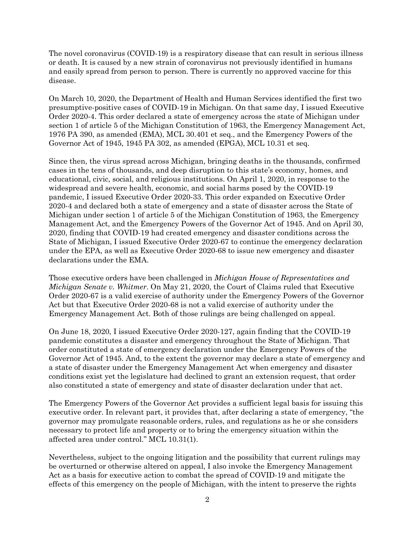The novel coronavirus (COVID-19) is a respiratory disease that can result in serious illness or death. It is caused by a new strain of coronavirus not previously identified in humans and easily spread from person to person. There is currently no approved vaccine for this disease.

On March 10, 2020, the Department of Health and Human Services identified the first two presumptive-positive cases of COVID-19 in Michigan. On that same day, I issued Executive Order 2020-4. This order declared a state of emergency across the state of Michigan under section 1 of article 5 of the Michigan Constitution of 1963, the Emergency Management Act, 1976 PA 390, as amended (EMA), MCL 30.401 et seq., and the Emergency Powers of the Governor Act of 1945, 1945 PA 302, as amended (EPGA), MCL 10.31 et seq.

Since then, the virus spread across Michigan, bringing deaths in the thousands, confirmed cases in the tens of thousands, and deep disruption to this state's economy, homes, and educational, civic, social, and religious institutions. On April 1, 2020, in response to the widespread and severe health, economic, and social harms posed by the COVID-19 pandemic, I issued Executive Order 2020-33. This order expanded on Executive Order 2020-4 and declared both a state of emergency and a state of disaster across the State of Michigan under section 1 of article 5 of the Michigan Constitution of 1963, the Emergency Management Act, and the Emergency Powers of the Governor Act of 1945. And on April 30, 2020, finding that COVID-19 had created emergency and disaster conditions across the State of Michigan, I issued Executive Order 2020-67 to continue the emergency declaration under the EPA, as well as Executive Order 2020-68 to issue new emergency and disaster declarations under the EMA.

Those executive orders have been challenged in *Michigan House of Representatives and Michigan Senate v. Whitmer*. On May 21, 2020, the Court of Claims ruled that Executive Order 2020-67 is a valid exercise of authority under the Emergency Powers of the Governor Act but that Executive Order 2020-68 is not a valid exercise of authority under the Emergency Management Act. Both of those rulings are being challenged on appeal.

On June 18, 2020, I issued Executive Order 2020-127, again finding that the COVID-19 pandemic constitutes a disaster and emergency throughout the State of Michigan. That order constituted a state of emergency declaration under the Emergency Powers of the Governor Act of 1945. And, to the extent the governor may declare a state of emergency and a state of disaster under the Emergency Management Act when emergency and disaster conditions exist yet the legislature had declined to grant an extension request, that order also constituted a state of emergency and state of disaster declaration under that act.

The Emergency Powers of the Governor Act provides a sufficient legal basis for issuing this executive order. In relevant part, it provides that, after declaring a state of emergency, "the governor may promulgate reasonable orders, rules, and regulations as he or she considers necessary to protect life and property or to bring the emergency situation within the affected area under control." MCL 10.31(1).

Nevertheless, subject to the ongoing litigation and the possibility that current rulings may be overturned or otherwise altered on appeal, I also invoke the Emergency Management Act as a basis for executive action to combat the spread of COVID-19 and mitigate the effects of this emergency on the people of Michigan, with the intent to preserve the rights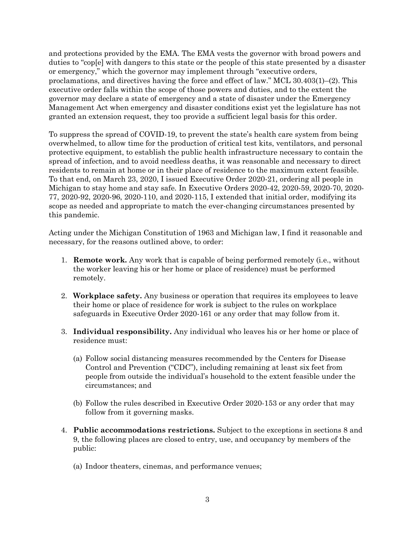and protections provided by the EMA. The EMA vests the governor with broad powers and duties to "cop[e] with dangers to this state or the people of this state presented by a disaster or emergency," which the governor may implement through "executive orders, proclamations, and directives having the force and effect of law." MCL 30.403(1)–(2). This executive order falls within the scope of those powers and duties, and to the extent the governor may declare a state of emergency and a state of disaster under the Emergency Management Act when emergency and disaster conditions exist yet the legislature has not granted an extension request, they too provide a sufficient legal basis for this order.

To suppress the spread of COVID-19, to prevent the state's health care system from being overwhelmed, to allow time for the production of critical test kits, ventilators, and personal protective equipment, to establish the public health infrastructure necessary to contain the spread of infection, and to avoid needless deaths, it was reasonable and necessary to direct residents to remain at home or in their place of residence to the maximum extent feasible. To that end, on March 23, 2020, I issued Executive Order 2020-21, ordering all people in Michigan to stay home and stay safe. In Executive Orders 2020-42, 2020-59, 2020-70, 2020- 77, 2020-92, 2020-96, 2020-110, and 2020-115, I extended that initial order, modifying its scope as needed and appropriate to match the ever-changing circumstances presented by this pandemic.

Acting under the Michigan Constitution of 1963 and Michigan law, I find it reasonable and necessary, for the reasons outlined above, to order:

- 1. **Remote work.** Any work that is capable of being performed remotely (i.e., without the worker leaving his or her home or place of residence) must be performed remotely.
- 2. **Workplace safety.** Any business or operation that requires its employees to leave their home or place of residence for work is subject to the rules on workplace safeguards in Executive Order 2020-161 or any order that may follow from it.
- 3. **Individual responsibility.** Any individual who leaves his or her home or place of residence must:
	- (a) Follow social distancing measures recommended by the Centers for Disease Control and Prevention ("CDC"), including remaining at least six feet from people from outside the individual's household to the extent feasible under the circumstances; and
	- (b) Follow the rules described in Executive Order 2020-153 or any order that may follow from it governing masks.
- 4. **Public accommodations restrictions.** Subject to the exceptions in sections 8 and 9, the following places are closed to entry, use, and occupancy by members of the public:
	- (a) Indoor theaters, cinemas, and performance venues;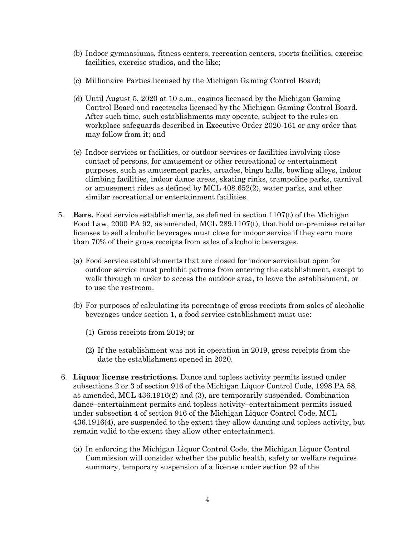- (b) Indoor gymnasiums, fitness centers, recreation centers, sports facilities, exercise facilities, exercise studios, and the like;
- (c) Millionaire Parties licensed by the Michigan Gaming Control Board;
- (d) Until August 5, 2020 at 10 a.m., casinos licensed by the Michigan Gaming Control Board and racetracks licensed by the Michigan Gaming Control Board. After such time, such establishments may operate, subject to the rules on workplace safeguards described in Executive Order 2020-161 or any order that may follow from it; and
- (e) Indoor services or facilities, or outdoor services or facilities involving close contact of persons, for amusement or other recreational or entertainment purposes, such as amusement parks, arcades, bingo halls, bowling alleys, indoor climbing facilities, indoor dance areas, skating rinks, trampoline parks, carnival or amusement rides as defined by MCL 408.652(2), water parks, and other similar recreational or entertainment facilities.
- 5. **Bars.** Food service establishments, as defined in section 1107(t) of the Michigan Food Law, 2000 PA 92, as amended, MCL 289.1107(t), that hold on-premises retailer licenses to sell alcoholic beverages must close for indoor service if they earn more than 70% of their gross receipts from sales of alcoholic beverages.
	- (a) Food service establishments that are closed for indoor service but open for outdoor service must prohibit patrons from entering the establishment, except to walk through in order to access the outdoor area, to leave the establishment, or to use the restroom.
	- (b) For purposes of calculating its percentage of gross receipts from sales of alcoholic beverages under section 1, a food service establishment must use:
		- (1) Gross receipts from 2019; or
		- (2) If the establishment was not in operation in 2019, gross receipts from the date the establishment opened in 2020.
- 6. **Liquor license restrictions.** Dance and topless activity permits issued under subsections 2 or 3 of section 916 of the Michigan Liquor Control Code, 1998 PA 58, as amended, MCL 436.1916(2) and (3), are temporarily suspended. Combination dance–entertainment permits and topless activity–entertainment permits issued under subsection 4 of section 916 of the Michigan Liquor Control Code, MCL 436.1916(4), are suspended to the extent they allow dancing and topless activity, but remain valid to the extent they allow other entertainment.
	- (a) In enforcing the Michigan Liquor Control Code, the Michigan Liquor Control Commission will consider whether the public health, safety or welfare requires summary, temporary suspension of a license under section 92 of the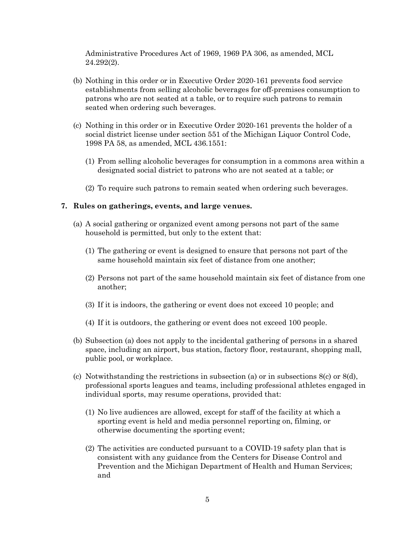Administrative Procedures Act of 1969, 1969 PA 306, as amended, MCL 24.292(2).

- (b) Nothing in this order or in Executive Order 2020-161 prevents food service establishments from selling alcoholic beverages for off-premises consumption to patrons who are not seated at a table, or to require such patrons to remain seated when ordering such beverages.
- (c) Nothing in this order or in Executive Order 2020-161 prevents the holder of a social district license under section 551 of the Michigan Liquor Control Code, 1998 PA 58, as amended, MCL 436.1551:
	- (1) From selling alcoholic beverages for consumption in a commons area within a designated social district to patrons who are not seated at a table; or
	- (2) To require such patrons to remain seated when ordering such beverages.

### **7. Rules on gatherings, events, and large venues.**

- (a) A social gathering or organized event among persons not part of the same household is permitted, but only to the extent that:
	- (1) The gathering or event is designed to ensure that persons not part of the same household maintain six feet of distance from one another;
	- (2) Persons not part of the same household maintain six feet of distance from one another;
	- (3) If it is indoors, the gathering or event does not exceed 10 people; and
	- (4) If it is outdoors, the gathering or event does not exceed 100 people.
- (b) Subsection (a) does not apply to the incidental gathering of persons in a shared space, including an airport, bus station, factory floor, restaurant, shopping mall, public pool, or workplace.
- (c) Notwithstanding the restrictions in subsection (a) or in subsections 8(c) or 8(d), professional sports leagues and teams, including professional athletes engaged in individual sports, may resume operations, provided that:
	- (1) No live audiences are allowed, except for staff of the facility at which a sporting event is held and media personnel reporting on, filming, or otherwise documenting the sporting event;
	- (2) The activities are conducted pursuant to a COVID-19 safety plan that is consistent with any guidance from the Centers for Disease Control and Prevention and the Michigan Department of Health and Human Services; and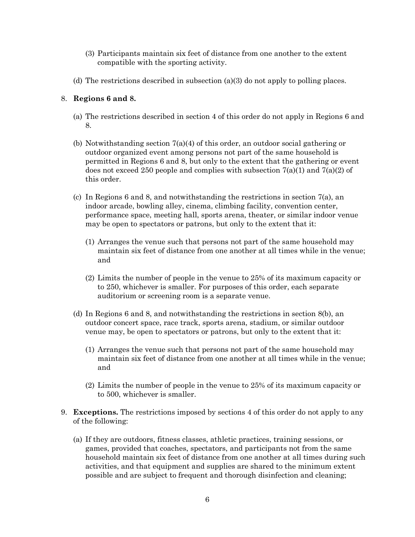- (3) Participants maintain six feet of distance from one another to the extent compatible with the sporting activity.
- (d) The restrictions described in subsection (a)(3) do not apply to polling places.

## 8. **Regions 6 and 8.**

- (a) The restrictions described in section 4 of this order do not apply in Regions 6 and 8.
- (b) Notwithstanding section 7(a)(4) of this order, an outdoor social gathering or outdoor organized event among persons not part of the same household is permitted in Regions 6 and 8, but only to the extent that the gathering or event does not exceed 250 people and complies with subsection  $7(a)(1)$  and  $7(a)(2)$  of this order.
- (c) In Regions 6 and 8, and notwithstanding the restrictions in section 7(a), an indoor arcade, bowling alley, cinema, climbing facility, convention center, performance space, meeting hall, sports arena, theater, or similar indoor venue may be open to spectators or patrons, but only to the extent that it:
	- (1) Arranges the venue such that persons not part of the same household may maintain six feet of distance from one another at all times while in the venue; and
	- (2) Limits the number of people in the venue to 25% of its maximum capacity or to 250, whichever is smaller. For purposes of this order, each separate auditorium or screening room is a separate venue.
- (d) In Regions 6 and 8, and notwithstanding the restrictions in section 8(b), an outdoor concert space, race track, sports arena, stadium, or similar outdoor venue may, be open to spectators or patrons, but only to the extent that it:
	- (1) Arranges the venue such that persons not part of the same household may maintain six feet of distance from one another at all times while in the venue; and
	- (2) Limits the number of people in the venue to 25% of its maximum capacity or to 500, whichever is smaller.
- 9. **Exceptions.** The restrictions imposed by sections 4 of this order do not apply to any of the following:
	- (a) If they are outdoors, fitness classes, athletic practices, training sessions, or games, provided that coaches, spectators, and participants not from the same household maintain six feet of distance from one another at all times during such activities, and that equipment and supplies are shared to the minimum extent possible and are subject to frequent and thorough disinfection and cleaning;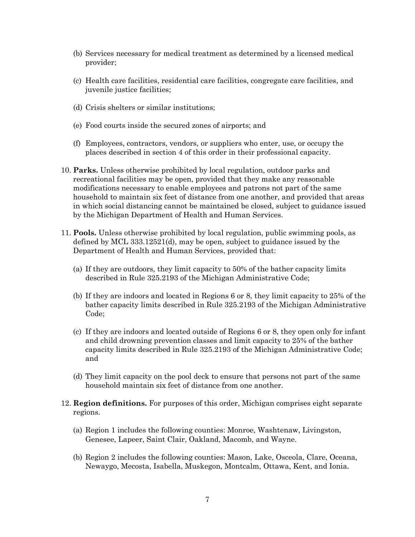- (b) Services necessary for medical treatment as determined by a licensed medical provider;
- (c) Health care facilities, residential care facilities, congregate care facilities, and juvenile justice facilities;
- (d) Crisis shelters or similar institutions;
- (e) Food courts inside the secured zones of airports; and
- (f) Employees, contractors, vendors, or suppliers who enter, use, or occupy the places described in section 4 of this order in their professional capacity.
- 10. **Parks.** Unless otherwise prohibited by local regulation, outdoor parks and recreational facilities may be open, provided that they make any reasonable modifications necessary to enable employees and patrons not part of the same household to maintain six feet of distance from one another, and provided that areas in which social distancing cannot be maintained be closed, subject to guidance issued by the Michigan Department of Health and Human Services.
- 11. **Pools.** Unless otherwise prohibited by local regulation, public swimming pools, as defined by MCL 333.12521(d), may be open, subject to guidance issued by the Department of Health and Human Services, provided that:
	- (a) If they are outdoors, they limit capacity to 50% of the bather capacity limits described in Rule 325.2193 of the Michigan Administrative Code;
	- (b) If they are indoors and located in Regions 6 or 8, they limit capacity to 25% of the bather capacity limits described in Rule 325.2193 of the Michigan Administrative Code;
	- (c) If they are indoors and located outside of Regions 6 or 8, they open only for infant and child drowning prevention classes and limit capacity to 25% of the bather capacity limits described in Rule 325.2193 of the Michigan Administrative Code; and
	- (d) They limit capacity on the pool deck to ensure that persons not part of the same household maintain six feet of distance from one another.
- 12. **Region definitions.** For purposes of this order, Michigan comprises eight separate regions.
	- (a) Region 1 includes the following counties: Monroe, Washtenaw, Livingston, Genesee, Lapeer, Saint Clair, Oakland, Macomb, and Wayne.
	- (b) Region 2 includes the following counties: Mason, Lake, Osceola, Clare, Oceana, Newaygo, Mecosta, Isabella, Muskegon, Montcalm, Ottawa, Kent, and Ionia.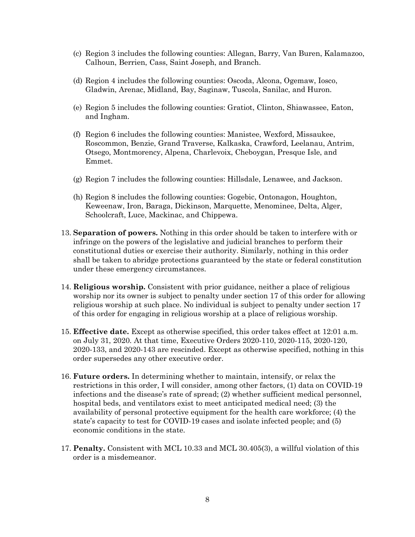- (c) Region 3 includes the following counties: Allegan, Barry, Van Buren, Kalamazoo, Calhoun, Berrien, Cass, Saint Joseph, and Branch.
- (d) Region 4 includes the following counties: Oscoda, Alcona, Ogemaw, Iosco, Gladwin, Arenac, Midland, Bay, Saginaw, Tuscola, Sanilac, and Huron.
- (e) Region 5 includes the following counties: Gratiot, Clinton, Shiawassee, Eaton, and Ingham.
- (f) Region 6 includes the following counties: Manistee, Wexford, Missaukee, Roscommon, Benzie, Grand Traverse, Kalkaska, Crawford, Leelanau, Antrim, Otsego, Montmorency, Alpena, Charlevoix, Cheboygan, Presque Isle, and Emmet.
- (g) Region 7 includes the following counties: Hillsdale, Lenawee, and Jackson.
- (h) Region 8 includes the following counties: Gogebic, Ontonagon, Houghton, Keweenaw, Iron, Baraga, Dickinson, Marquette, Menominee, Delta, Alger, Schoolcraft, Luce, Mackinac, and Chippewa.
- 13. **Separation of powers.** Nothing in this order should be taken to interfere with or infringe on the powers of the legislative and judicial branches to perform their constitutional duties or exercise their authority. Similarly, nothing in this order shall be taken to abridge protections guaranteed by the state or federal constitution under these emergency circumstances.
- 14. **Religious worship.** Consistent with prior guidance, neither a place of religious worship nor its owner is subject to penalty under section 17 of this order for allowing religious worship at such place. No individual is subject to penalty under section 17 of this order for engaging in religious worship at a place of religious worship.
- 15. **Effective date.** Except as otherwise specified, this order takes effect at 12:01 a.m. on July 31, 2020. At that time, Executive Orders 2020-110, 2020-115, 2020-120, 2020-133, and 2020-143 are rescinded. Except as otherwise specified, nothing in this order supersedes any other executive order.
- 16. **Future orders.** In determining whether to maintain, intensify, or relax the restrictions in this order, I will consider, among other factors, (1) data on COVID-19 infections and the disease's rate of spread; (2) whether sufficient medical personnel, hospital beds, and ventilators exist to meet anticipated medical need; (3) the availability of personal protective equipment for the health care workforce; (4) the state's capacity to test for COVID-19 cases and isolate infected people; and (5) economic conditions in the state.
- 17. **Penalty.** Consistent with MCL 10.33 and MCL 30.405(3), a willful violation of this order is a misdemeanor.